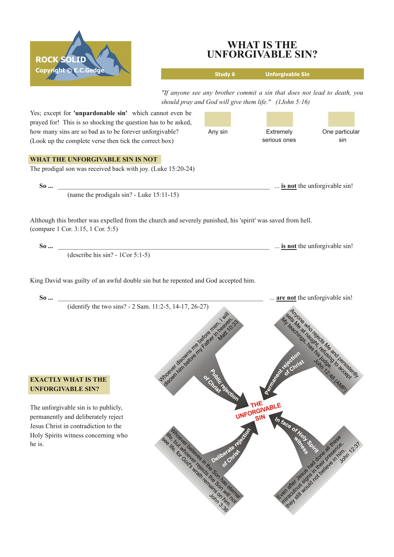

he is.

## **WHAT IS THE UNFORGIVABLE SIN?**

**Study 6 Unforgivable Sin** *"If anyone see any brother commit a sin that does not lead to death, you should pray and God will give them life." (1John 5:16)* Yes; except for **'unpardonable sin'** which cannot even be prayed for! This is so shocking the question has to be asked, how many sins are so bad as to be forever unforgivable? Any sin **Extremely** One particular serious ones sin (Look up the complete verse then tick the correct box) **WHAT THE UNFORGIVABLE SIN IS NOT** The prodigal son was received back with joy. (Luke 15:20-24) **So** ... **is not** the unforgivable sin! (name the prodigals  $sin$ ? - Luke 15:11-15) Although this brother was expelled from the church and severely punished, his 'spirit' was saved from hell. (compare 1 Cor. 3:15, 1 Cor. 5:5) **So ... is not** the unforgivable sin!  $(describe his sin? - 1Cor 5:1-5)$ King David was guilty of an awful double sin but he repented and God accepted him. **So** ... **are not** the unforgivable sin! (identify the two sins?  $- 2$  Sam. 11:2-5, 14-17, 26-27) seitende under de de la distribución de Mindson River Deadles River River River **EXACTLY WHAT IS THE UNFORGIVABLE SIN?** THE UNFORGIVABL E The unforgivable sin is to publicly, permanently and deliberately reject  $\mathsf{SN}$ Jesus Christ in contradiction to the Inc. but in ballactic in the state of the context of the context of the context of the context of the context of the context of the context of the context of the context of the context of the context of the context of the Holy Spirits witness concerning who All of development of the development of the development of the development of the development of the development of the development of the development of the development of the development of the development of the develo Marian Marian Salaman